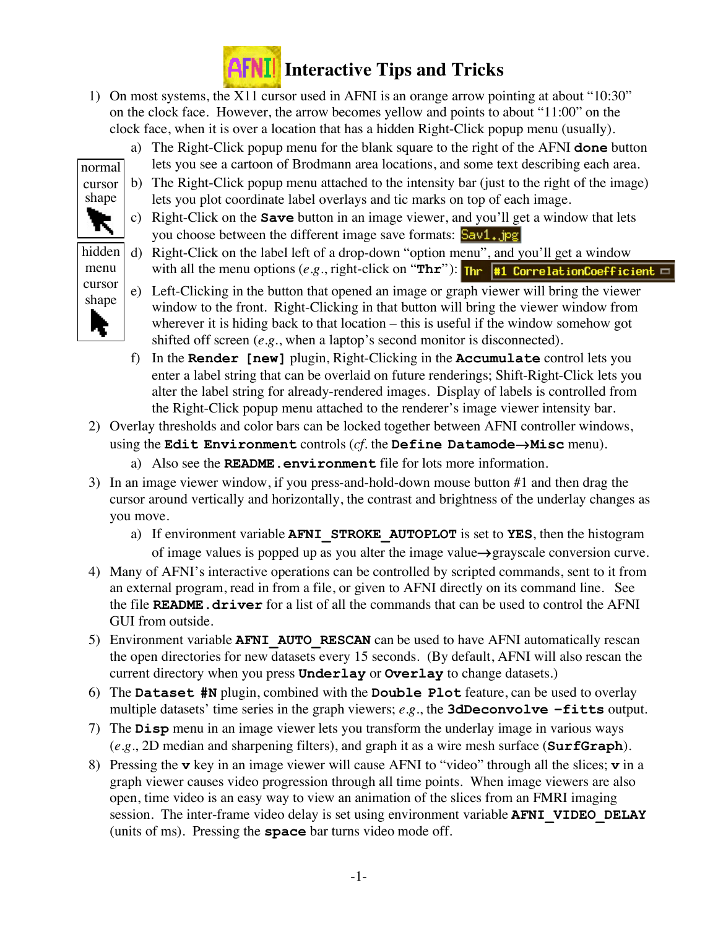

- 1) On most systems, the X11 cursor used in AFNI is an orange arrow pointing at about "10:30" on the clock face. However, the arrow becomes yellow and points to about "11:00" on the clock face, when it is over a location that has a hidden Right-Click popup menu (usually).
	- a) The Right-Click popup menu for the blank square to the right of the AFNI **done** button lets you see a cartoon of Brodmann area locations, and some text describing each area.
	- b) The Right-Click popup menu attached to the intensity bar (just to the right of the image) lets you plot coordinate label overlays and tic marks on top of each image.
	- c) Right-Click on the **Save** button in an image viewer, and you'll get a window that lets you choose between the different image save formats: Sav1, jpg
	- d) Right-Click on the label left of a drop-down "option menu", and you'll get a window with all the menu options  $(e.g.,$  right-click on "**Thr**"): **Thr**  $\frac{1}{2}$  **Thr** correlationCoefficient  $\Box$
	- e) Left-Clicking in the button that opened an image or graph viewer will bring the viewer window to the front. Right-Clicking in that button will bring the viewer window from wherever it is hiding back to that location – this is useful if the window somehow got shifted off screen (*e.g.*, when a laptop's second monitor is disconnected).
	- f) In the **Render [new]** plugin, Right-Clicking in the **Accumulate** control lets you enter a label string that can be overlaid on future renderings; Shift-Right-Click lets you alter the label string for already-rendered images. Display of labels is controlled from the Right-Click popup menu attached to the renderer's image viewer intensity bar.
- 2) Overlay thresholds and color bars can be locked together between AFNI controller windows, using the **Edit Environment** controls (*cf.* the **Define Datamode**→**Misc** menu).
	- a) Also see the **README.environment** file for lots more information.
- 3) In an image viewer window, if you press-and-hold-down mouse button #1 and then drag the cursor around vertically and horizontally, the contrast and brightness of the underlay changes as you move.
	- a) If environment variable **AFNI\_STROKE\_AUTOPLOT** is set to **YES**, then the histogram of image values is popped up as you alter the image value→grayscale conversion curve.
- 4) Many of AFNI's interactive operations can be controlled by scripted commands, sent to it from an external program, read in from a file, or given to AFNI directly on its command line. See the file **README.driver** for a list of all the commands that can be used to control the AFNI GUI from outside.
- 5) Environment variable **AFNI\_AUTO\_RESCAN** can be used to have AFNI automatically rescan the open directories for new datasets every 15 seconds. (By default, AFNI will also rescan the current directory when you press **Underlay** or **Overlay** to change datasets.)
- 6) The **Dataset #N** plugin, combined with the **Double Plot** feature, can be used to overlay multiple datasets' time series in the graph viewers; *e.g.*, the **3dDeconvolve –fitts** output.
- 7) The **Disp** menu in an image viewer lets you transform the underlay image in various ways (*e.g.*, 2D median and sharpening filters), and graph it as a wire mesh surface (**SurfGraph**).
- 8) Pressing the **v** key in an image viewer will cause AFNI to "video" through all the slices; **v** in a graph viewer causes video progression through all time points. When image viewers are also open, time video is an easy way to view an animation of the slices from an FMRI imaging session. The inter-frame video delay is set using environment variable **AFNI\_VIDEO\_DELAY** (units of ms). Pressing the **space** bar turns video mode off.

menu cursor shape

normal cursor shape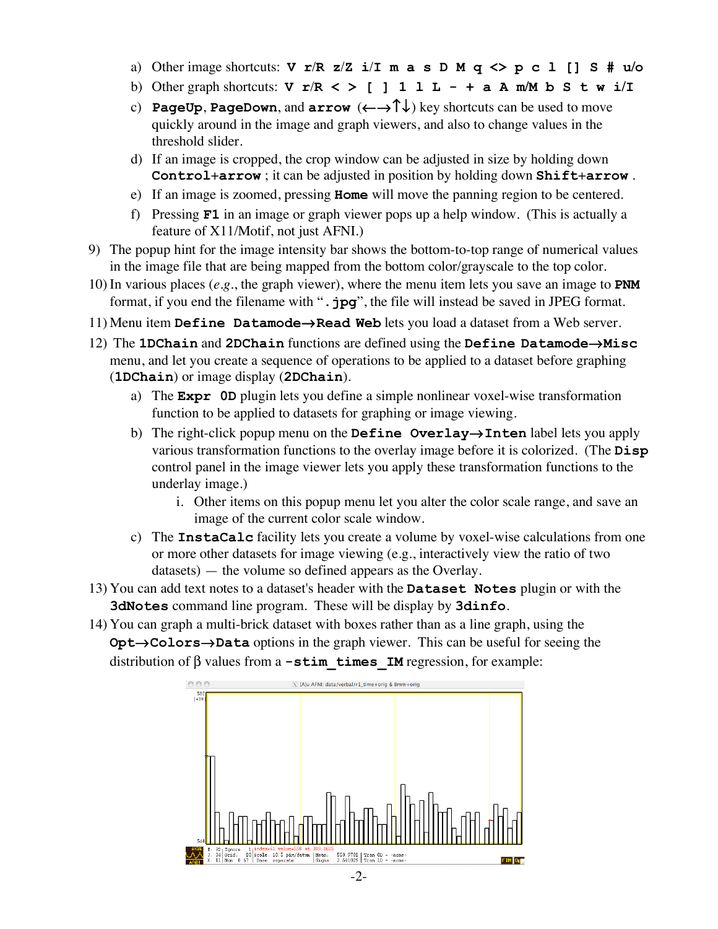- a) Other image shortcuts: **V r**/**R z**/**Z i**/**I m a s D M q <> p c l [] S # u/o**
- b) Other graph shortcuts: **V r**/**R < > [ ] 1 l L + a A m/M b S t w i/I**
- c) **PageUp**, **PageDown**, and **arrow** (←→↑↓) key shortcuts can be used to move quickly around in the image and graph viewers, and also to change values in the threshold slider.
- d) If an image is cropped, the crop window can be adjusted in size by holding down **Control**+**arrow** ; it can be adjusted in position by holding down **Shift**+**arrow** .
- e) If an image is zoomed, pressing **Home** will move the panning region to be centered.
- f) Pressing **F1** in an image or graph viewer pops up a help window. (This is actually a feature of X11/Motif, not just AFNI.)
- 9) The popup hint for the image intensity bar shows the bottom-to-top range of numerical values in the image file that are being mapped from the bottom color/grayscale to the top color.
- 10) In various places (*e.g.*, the graph viewer), where the menu item lets you save an image to **PNM** format, if you end the filename with "**.jpg**", the file will instead be saved in JPEG format.
- 11) Menu item **Define Datamode**→**Read Web** lets you load a dataset from a Web server.
- 12) The **1DChain** and **2DChain** functions are defined using the **Define Datamode**→**Misc** menu, and let you create a sequence of operations to be applied to a dataset before graphing (**1DChain**) or image display (**2DChain**).
	- a) The **Expr 0D** plugin lets you define a simple nonlinear voxel-wise transformation function to be applied to datasets for graphing or image viewing.
	- b) The right-click popup menu on the **Define Overlay**→**Inten** label lets you apply various transformation functions to the overlay image before it is colorized. (The **Disp** control panel in the image viewer lets you apply these transformation functions to the underlay image.)
		- i. Other items on this popup menu let you alter the color scale range, and save an image of the current color scale window.
	- c) The **InstaCalc** facility lets you create a volume by voxel-wise calculations from one or more other datasets for image viewing (e.g., interactively view the ratio of two datasets) — the volume so defined appears as the Overlay.
- 13) You can add text notes to a dataset's header with the **Dataset Notes** plugin or with the **3dNotes** command line program. These will be display by **3dinfo**.
- 14) You can graph a multi-brick dataset with boxes rather than as a line graph, using the **Opt**→**Colors**→**Data** options in the graph viewer. This can be useful for seeing the distribution of β values from a **-stim\_times\_IM** regression, for example: